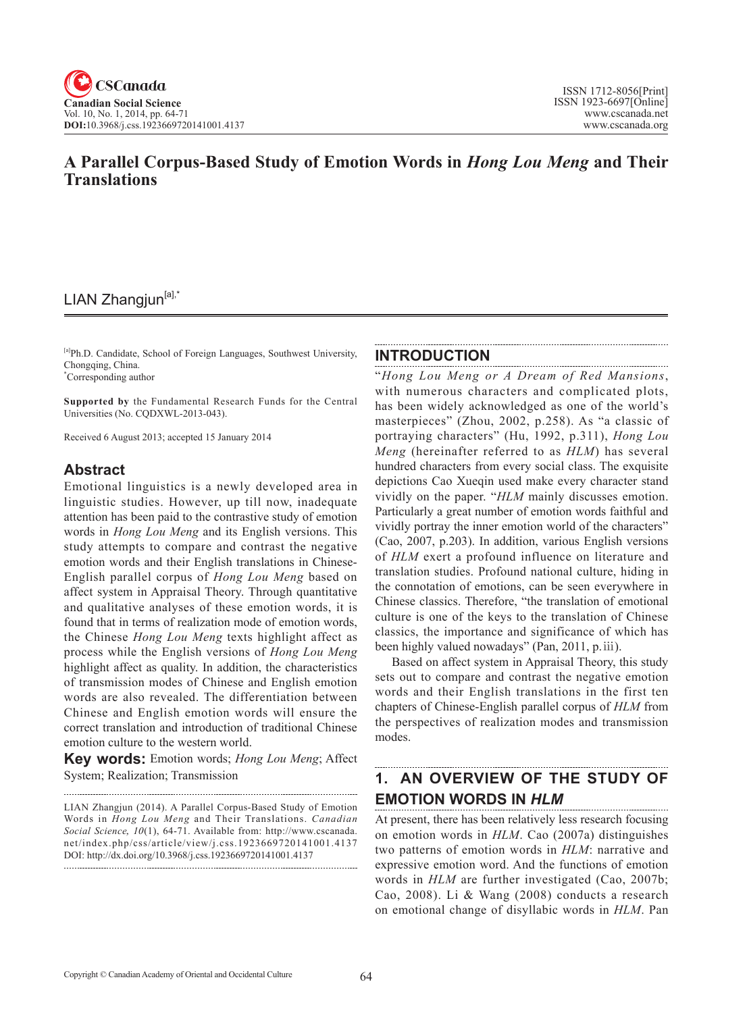# **A Parallel Corpus-Based Study of Emotion Words in** *Hong Lou Meng* **and Their Translations**

# LIAN Zhangjun<sup>[a],\*</sup>

[a]Ph.D. Candidate, School of Foreign Languages, Southwest University, Chongqing, China. \* Corresponding author

**Supported by** the Fundamental Research Funds for the Central Universities (No. CQDXWL-2013-043).

Received 6 August 2013; accepted 15 January 2014

#### **Abstract**

Emotional linguistics is a newly developed area in linguistic studies. However, up till now, inadequate attention has been paid to the contrastive study of emotion words in *Hong Lou Meng* and its English versions. This study attempts to compare and contrast the negative emotion words and their English translations in Chinese-English parallel corpus of *Hong Lou Meng* based on affect system in Appraisal Theory. Through quantitative and qualitative analyses of these emotion words, it is found that in terms of realization mode of emotion words, the Chinese *Hong Lou Meng* texts highlight affect as process while the English versions of *Hong Lou Meng* highlight affect as quality. In addition, the characteristics of transmission modes of Chinese and English emotion words are also revealed. The differentiation between Chinese and English emotion words will ensure the correct translation and introduction of traditional Chinese emotion culture to the western world.

**Key words:** Emotion words; *Hong Lou Meng*; Affect System; Realization; Transmission

LIAN Zhangjun (2014). A Parallel Corpus-Based Study of Emotion

Words in *Hong Lou Meng* and Their Translations. *Canadian Social Science*, <sup>10</sup>(1), 64-71. Available from: http://www.cscanada. net/index.php/css/article/view/j.css.1923669720141001.4137 DOI: http://dx.doi.org/10.3968/j.css.1923669720141001.4137 

#### **INTRODUCTION**

"*Hong Lou Meng or A Dream of Red Mansions*, with numerous characters and complicated plots, has been widely acknowledged as one of the world's masterpieces" (Zhou, 2002, p.258). As "a classic of portraying characters" (Hu, 1992, p.311), *Hong Lou Meng* (hereinafter referred to as *HLM*) has several hundred characters from every social class. The exquisite depictions Cao Xueqin used make every character stand vividly on the paper. "*HLM* mainly discusses emotion. Particularly a great number of emotion words faithful and vividly portray the inner emotion world of the characters" (Cao, 2007, p.203). In addition, various English versions of *HLM* exert a profound influence on literature and translation studies. Profound national culture, hiding in the connotation of emotions, can be seen everywhere in Chinese classics. Therefore, "the translation of emotional culture is one of the keys to the translation of Chinese classics, the importance and significance of which has been highly valued nowadays" (Pan, 2011, p.ⅲ).

Based on affect system in Appraisal Theory, this study sets out to compare and contrast the negative emotion words and their English translations in the first ten chapters of Chinese-English parallel corpus of *HLM* from the perspectives of realization modes and transmission modes.

#### **1. AN OVERVIEW OF THE STUDY OF EMOTION WORDS IN** *HLM*

At present, there has been relatively less research focusing on emotion words in *HLM*. Cao (2007a) distinguishes two patterns of emotion words in *HLM*: narrative and expressive emotion word. And the functions of emotion words in *HLM* are further investigated (Cao, 2007b; Cao, 2008). Li & Wang (2008) conducts a research on emotional change of disyllabic words in *HLM*. Pan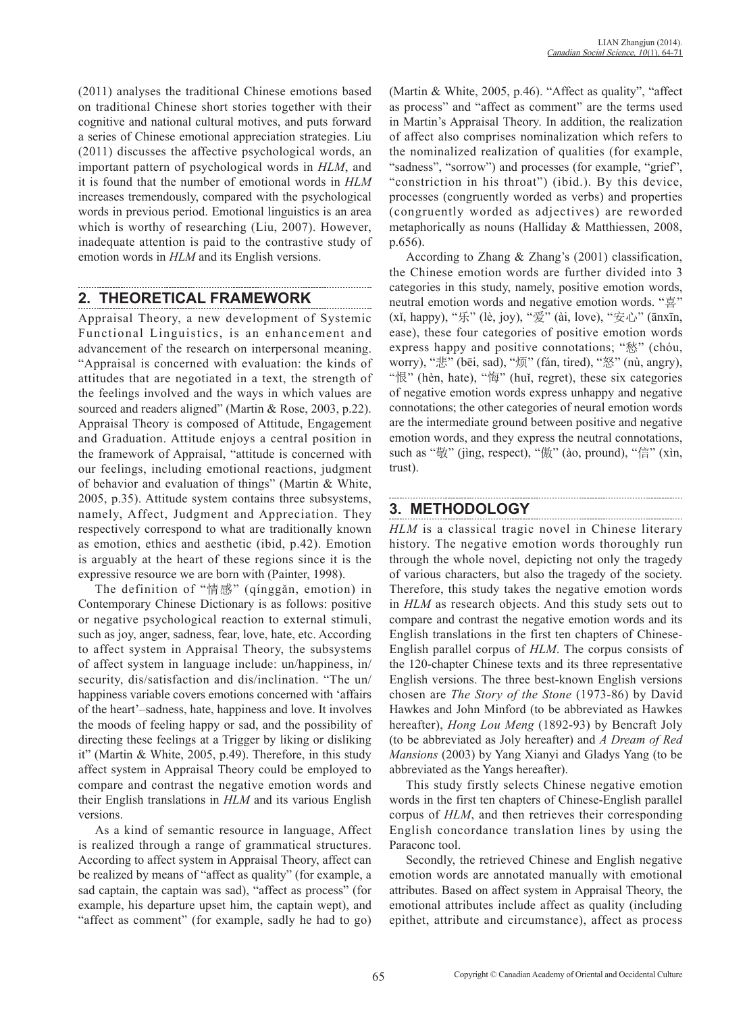(2011) analyses the traditional Chinese emotions based on traditional Chinese short stories together with their cognitive and national cultural motives, and puts forward a series of Chinese emotional appreciation strategies. Liu (2011) discusses the affective psychological words, an important pattern of psychological words in *HLM*, and it is found that the number of emotional words in *HLM* increases tremendously, compared with the psychological words in previous period. Emotional linguistics is an area which is worthy of researching (Liu, 2007). However, inadequate attention is paid to the contrastive study of emotion words in *HLM* and its English versions.

## **2. THEORETICAL FRAMEWORK**

Appraisal Theory, a new development of Systemic Functional Linguistics, is an enhancement and advancement of the research on interpersonal meaning. "Appraisal is concerned with evaluation: the kinds of attitudes that are negotiated in a text, the strength of the feelings involved and the ways in which values are sourced and readers aligned" (Martin & Rose, 2003, p.22). Appraisal Theory is composed of Attitude, Engagement and Graduation. Attitude enjoys a central position in the framework of Appraisal, "attitude is concerned with our feelings, including emotional reactions, judgment of behavior and evaluation of things" (Martin & White, 2005, p.35). Attitude system contains three subsystems, namely, Affect, Judgment and Appreciation. They respectively correspond to what are traditionally known as emotion, ethics and aesthetic (ibid, p.42). Emotion is arguably at the heart of these regions since it is the expressive resource we are born with (Painter, 1998).

The definition of "情感" (qínggǎn, emotion) in Contemporary Chinese Dictionary is as follows: positive or negative psychological reaction to external stimuli, such as joy, anger, sadness, fear, love, hate, etc. According to affect system in Appraisal Theory, the subsystems of affect system in language include: un/happiness, in/ security, dis/satisfaction and dis/inclination. "The un/ happiness variable covers emotions concerned with 'affairs of the heart'–sadness, hate, happiness and love. It involves the moods of feeling happy or sad, and the possibility of directing these feelings at a Trigger by liking or disliking it" (Martin & White, 2005, p.49). Therefore, in this study affect system in Appraisal Theory could be employed to compare and contrast the negative emotion words and their English translations in *HLM* and its various English versions.

As a kind of semantic resource in language, Affect is realized through a range of grammatical structures. According to affect system in Appraisal Theory, affect can be realized by means of "affect as quality" (for example, a sad captain, the captain was sad), "affect as process" (for example, his departure upset him, the captain wept), and "affect as comment" (for example, sadly he had to go)

(Martin & White, 2005, p.46). "Affect as quality", "affect as process" and "affect as comment" are the terms used in Martin's Appraisal Theory. In addition, the realization of affect also comprises nominalization which refers to the nominalized realization of qualities (for example, "sadness", "sorrow") and processes (for example, "grief", "constriction in his throat") (ibid.). By this device, processes (congruently worded as verbs) and properties (congruently worded as adjectives) are reworded metaphorically as nouns (Halliday & Matthiessen, 2008, p.656).

According to Zhang & Zhang's (2001) classification, the Chinese emotion words are further divided into 3 categories in this study, namely, positive emotion words, neutral emotion words and negative emotion words. "喜" (xǐ, happy), "乐" (lè, joy), "爱" (ài, love), "安心" (ānxīn, ease), these four categories of positive emotion words express happy and positive connotations; "愁" (chóu, worry), "悲" (bēi, sad), "烦" (fán, tired), "怒" (nù, angry), "恨" (hèn, hate), "悔" (huǐ, regret), these six categories of negative emotion words express unhappy and negative connotations; the other categories of neural emotion words are the intermediate ground between positive and negative emotion words, and they express the neutral connotations, such as "敬" (jìng, respect), "傲" (ào, pround), "信" (xìn, trust).

# **3. METHODOLOGY**

*HLM* is a classical tragic novel in Chinese literary history. The negative emotion words thoroughly run through the whole novel, depicting not only the tragedy of various characters, but also the tragedy of the society. Therefore, this study takes the negative emotion words in *HLM* as research objects. And this study sets out to compare and contrast the negative emotion words and its English translations in the first ten chapters of Chinese-English parallel corpus of *HLM*. The corpus consists of the 120-chapter Chinese texts and its three representative English versions. The three best-known English versions chosen are *The Story of the Stone* (1973-86) by David Hawkes and John Minford (to be abbreviated as Hawkes hereafter), *Hong Lou Meng* (1892-93) by Bencraft Joly (to be abbreviated as Joly hereafter) and *A Dream of Red Mansions* (2003) by Yang Xianyi and Gladys Yang (to be abbreviated as the Yangs hereafter).

This study firstly selects Chinese negative emotion words in the first ten chapters of Chinese-English parallel corpus of *HLM*, and then retrieves their corresponding English concordance translation lines by using the Paraconc tool.

Secondly, the retrieved Chinese and English negative emotion words are annotated manually with emotional attributes. Based on affect system in Appraisal Theory, the emotional attributes include affect as quality (including epithet, attribute and circumstance), affect as process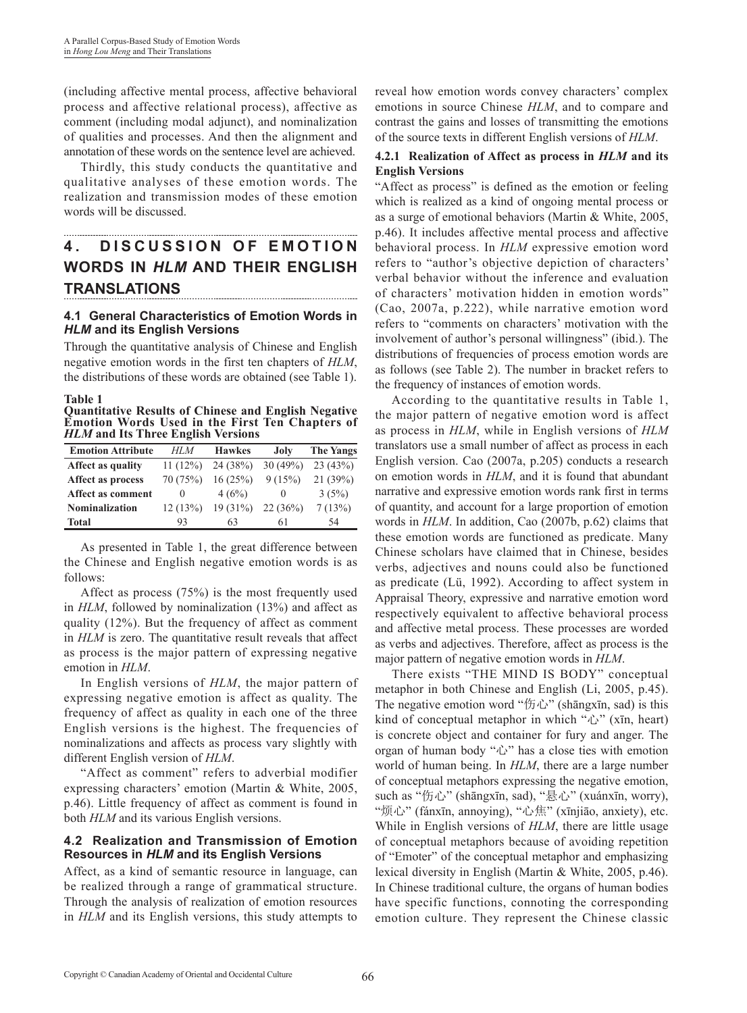(including affective mental process, affective behavioral process and affective relational process), affective as comment (including modal adjunct), and nominalization of qualities and processes. And then the alignment and annotation of these words on the sentence level are achieved.

Thirdly, this study conducts the quantitative and qualitative analyses of these emotion words. The realization and transmission modes of these emotion words will be discussed.

# **4. DISCUSSION OF EMOTION WORDS IN** *HLM* **AND THEIR ENGLISH TRANSLATIONS**

#### **4.1 General Characteristics of Emotion Words in**  *HLM* **and its English Versions**

Through the quantitative analysis of Chinese and English negative emotion words in the first ten chapters of *HLM*, the distributions of these words are obtained (see Table 1).

**Table 1**

**Quantitative Results of Chinese and English Negative Emotion Words Used in the First Ten Chapters of**  *HLM* **and Its Three English Versions** 

| <b>Emotion Attribute</b> | HLM      | <b>Hawkes</b> | Joly     | <b>The Yangs</b> |
|--------------------------|----------|---------------|----------|------------------|
| <b>Affect as quality</b> | 11(12%)  | 24 (38%)      | 30(49%)  | 23(43%)          |
| Affect as process        | 70 (75%) | 16(25%)       | 9(15%)   | 21(39%)          |
| <b>Affect as comment</b> | $\theta$ | 4(6%)         | $\theta$ | 3(5%)            |
| <b>Nominalization</b>    | 12(13%)  | 19(31%)       | 22(36%)  | 7(13%)           |
| Total                    | 93       | 63            | 61       | -54              |

As presented in Table 1, the great difference between the Chinese and English negative emotion words is as follows:

Affect as process (75%) is the most frequently used in *HLM*, followed by nominalization (13%) and affect as quality (12%). But the frequency of affect as comment in *HLM* is zero. The quantitative result reveals that affect as process is the major pattern of expressing negative emotion in *HLM*.

In English versions of *HLM*, the major pattern of expressing negative emotion is affect as quality. The frequency of affect as quality in each one of the three English versions is the highest. The frequencies of nominalizations and affects as process vary slightly with different English version of *HLM*.

"Affect as comment" refers to adverbial modifier expressing characters' emotion (Martin & White, 2005, p.46). Little frequency of affect as comment is found in both *HLM* and its various English versions.

#### **4.2 Realization and Transmission of Emotion Resources in** *HLM* **and its English Versions**

Affect, as a kind of semantic resource in language, can be realized through a range of grammatical structure. Through the analysis of realization of emotion resources in *HLM* and its English versions, this study attempts to reveal how emotion words convey characters' complex emotions in source Chinese *HLM*, and to compare and contrast the gains and losses of transmitting the emotions of the source texts in different English versions of *HLM*.

#### **4.2.1 Realization of Affect as process in** *HLM* **and its English Versions**

"Affect as process" is defined as the emotion or feeling which is realized as a kind of ongoing mental process or as a surge of emotional behaviors (Martin & White, 2005, p.46). It includes affective mental process and affective behavioral process. In *HLM* expressive emotion word refers to "author's objective depiction of characters' verbal behavior without the inference and evaluation of characters' motivation hidden in emotion words" (Cao, 2007a, p.222), while narrative emotion word refers to "comments on characters' motivation with the involvement of author's personal willingness" (ibid.). The distributions of frequencies of process emotion words are as follows (see Table 2). The number in bracket refers to the frequency of instances of emotion words.

According to the quantitative results in Table 1, the major pattern of negative emotion word is affect as process in *HLM*, while in English versions of *HLM* translators use a small number of affect as process in each English version. Cao (2007a, p.205) conducts a research on emotion words in *HLM*, and it is found that abundant narrative and expressive emotion words rank first in terms of quantity, and account for a large proportion of emotion words in *HLM*. In addition, Cao (2007b, p.62) claims that these emotion words are functioned as predicate. Many Chinese scholars have claimed that in Chinese, besides verbs, adjectives and nouns could also be functioned as predicate (Lü, 1992). According to affect system in Appraisal Theory, expressive and narrative emotion word respectively equivalent to affective behavioral process and affective metal process. These processes are worded as verbs and adjectives. Therefore, affect as process is the major pattern of negative emotion words in *HLM*.

There exists "THE MIND IS BODY" conceptual metaphor in both Chinese and English (Li, 2005, p.45). The negative emotion word "伤心" (shāngxīn, sad) is this kind of conceptual metaphor in which "心" (xīn, heart) is concrete object and container for fury and anger. The organ of human body "心" has a close ties with emotion world of human being. In *HLM*, there are a large number of conceptual metaphors expressing the negative emotion, such as "伤心" (shāngxīn, sad), "悬心" (xuánxīn, worry), "烦心" (fánxīn, annoying), "心焦" (xīnjiāo, anxiety), etc. While in English versions of *HLM*, there are little usage of conceptual metaphors because of avoiding repetition of "Emoter" of the conceptual metaphor and emphasizing lexical diversity in English (Martin & White, 2005, p.46). In Chinese traditional culture, the organs of human bodies have specific functions, connoting the corresponding emotion culture. They represent the Chinese classic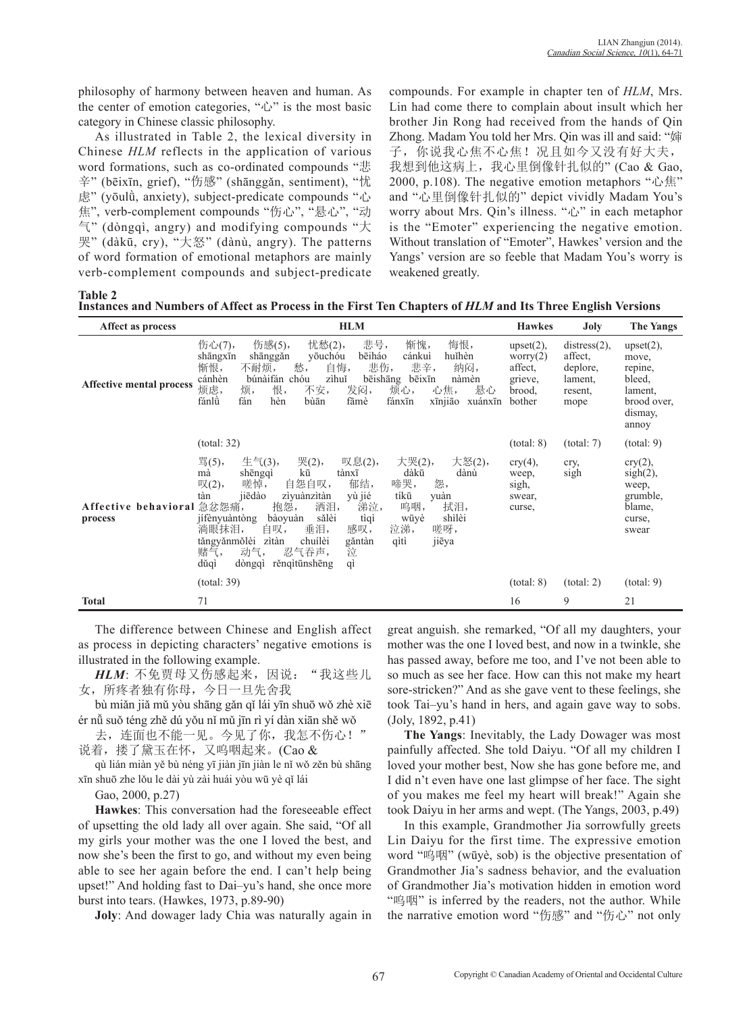philosophy of harmony between heaven and human. As the center of emotion categories, "心" is the most basic category in Chinese classic philosophy.

As illustrated in Table 2, the lexical diversity in Chinese *HLM* reflects in the application of various word formations, such as co-ordinated compounds "悲 辛" (bēixīn, grief), "伤感" (shānggǎn, sentiment), "忧 虑" (yōulǜ, anxiety), subject-predicate compounds "心 焦", verb-complement compounds "伤心", "悬心", "动 气" (dòngqì, angry) and modifying compounds "大 哭" (dàkū, cry), "大怒" (dànù, angry). The patterns of word formation of emotional metaphors are mainly verb-complement compounds and subject-predicate

compounds. For example in chapter ten of *HLM*, Mrs. Lin had come there to complain about insult which her brother Jin Rong had received from the hands of Qin Zhong. Madam You told her Mrs. Qin was ill and said: "婶 子,你说我心焦不心焦!况且如今又没有好大夫, 我想到他这病上,我心里倒像针扎似的" (Cao & Gao, 2000, p.108). The negative emotion metaphors "心焦" and "心里倒像针扎似的" depict vividly Madam You's worry about Mrs. Qin's illness. "心" in each metaphor is the "Emoter" experiencing the negative emotion. Without translation of "Emoter", Hawkes' version and the Yangs' version are so feeble that Madam You's worry is weakened greatly.

**Table 2**

**Instances and Numbers of Affect as Process in the First Ten Chapters of** *HLM* **and Its Three English Versions** 

| Affect as process               | <b>HLM</b>                                                                                                                                                                                                                                                                                                                                                                                                                                                                                                                  | <b>Hawkes</b>                                                         | Joly                                                                 | The Yangs                                                                                |
|---------------------------------|-----------------------------------------------------------------------------------------------------------------------------------------------------------------------------------------------------------------------------------------------------------------------------------------------------------------------------------------------------------------------------------------------------------------------------------------------------------------------------------------------------------------------------|-----------------------------------------------------------------------|----------------------------------------------------------------------|------------------------------------------------------------------------------------------|
| <b>Affective mental process</b> | 伤感(5),<br>悲号,<br>悔恨,<br>忧愁(2),<br>伤心(7),<br>惭愧,<br>bēiháo<br>huĭhèn<br>yōuchóu<br>shānggǎn<br>cánkuì<br>shāngxīn<br>愁,<br>自悔,<br>悲辛,<br>悲伤,<br>惭恨,<br>纳闷,<br>不耐烦,<br>búnàifán<br>zìhuǐ<br>cánhèn<br>chóu<br>bēishāng<br>bēixīn<br>nàmèn<br>发闷,<br>悬心<br>恨,<br>不安,<br>烦,<br>心焦,<br>烦虑,<br>烦心,<br>fánlù<br>fán<br>hèn<br>bùān<br>xīnjiāo<br>fāmè<br>fánxīn<br>xuánxīn                                                                                                                                                         | $upset(2)$ ,<br>worry $(2)$<br>affect.<br>grieve,<br>brood.<br>bother | $distress(2)$ ,<br>affect.<br>deplore,<br>lament,<br>resent.<br>mope | $upset(2)$ ,<br>move.<br>repine,<br>bleed,<br>lament.<br>brood over,<br>dismay,<br>annoy |
|                                 | (total: 32)                                                                                                                                                                                                                                                                                                                                                                                                                                                                                                                 | (total: 8)                                                            | (total: 7)                                                           | (total: 9)                                                                               |
| Affective behavioral<br>process | 骂(5),<br>$\pm \in (3),$<br>哭(2),<br>大哭(2),<br>大怒(2),<br>叹息(2),<br>kū<br>dàkū<br>shēngqì<br>dànù<br>mà<br>tànxī<br>怨,<br>郁结,<br>嗟悼,<br>自怨自叹,<br>啼哭,<br>$\mathbb{R}(2),$<br>jiēdào<br>tíkū<br>tàn<br>ziyuànzìtàn<br>yù jié<br>yuàn<br>抱怨,<br>涕泣,<br>急忿怨痛,<br>洒泪,<br>呜咽,<br>拭泪,<br>shìlèi<br>sălèi<br>tìqì<br>jífènyuàntòng<br>bàoyuàn<br>wūyè<br>垂泪,<br>感叹,<br>泣涕,<br>嗟呀,<br>淌眼抹泪,<br>自叹,<br>chuílèi<br>tăngyănmŏlèi<br>qìtì<br>jiēya<br>zìtàn<br>găntàn<br>泣<br>动气,<br>忍气吞声,<br>赌气,<br>dŭqì<br>rěngitūnshēng<br>dòngqì<br>qì | $\text{cry}(4)$ ,<br>weep,<br>sigh,<br>swear,<br>curse,               | cry,<br>sigh                                                         | $\text{cry}(2)$ ,<br>$sigh(2)$ ,<br>weep,<br>grumble,<br>blame,<br>curse,<br>swear       |
|                                 | (total: 39)                                                                                                                                                                                                                                                                                                                                                                                                                                                                                                                 | (total: 8)                                                            | (total: 2)                                                           | (total: 9)                                                                               |
| <b>Total</b>                    | 71                                                                                                                                                                                                                                                                                                                                                                                                                                                                                                                          | 16                                                                    | 9                                                                    | 21                                                                                       |

The difference between Chinese and English affect as process in depicting characters' negative emotions is illustrated in the following example.

HLM: 不免贾母又伤感起来, 因说: "我这些儿 女,所疼者独有你母,今日一旦先舍我

bù miǎn jiǎ mǔ yòu shāng gǎn qǐ lái yīn shuō wǒ zhè xiē ér nǚ suǒ téng zhě dú yǒu nǐ mǔ jīn rì yí dàn xiān shě wǒ

去,连面也不能一见。今见了你,我怎不伤心!" 说着, 搂了黛玉在怀, 又呜咽起来。(Cao &

qù lián miàn yě bù néng yī jiàn jīn jiàn le nǐ wǒ zěn bù shāng xīn shuō zhe lǒu le dài yù zài huái yòu wū yè qǐ lái

Gao, 2000, p.27)

**Hawkes**: This conversation had the foreseeable effect of upsetting the old lady all over again. She said, "Of all my girls your mother was the one I loved the best, and now she's been the first to go, and without my even being able to see her again before the end. I can't help being upset!" And holding fast to Dai–yu's hand, she once more burst into tears. (Hawkes, 1973, p.89-90)

**Joly**: And dowager lady Chia was naturally again in

great anguish. she remarked, "Of all my daughters, your mother was the one I loved best, and now in a twinkle, she has passed away, before me too, and I've not been able to so much as see her face. How can this not make my heart sore-stricken?" And as she gave vent to these feelings, she took Tai–yu's hand in hers, and again gave way to sobs. (Joly, 1892, p.41)

**The Yangs**: Inevitably, the Lady Dowager was most painfully affected. She told Daiyu. "Of all my children I loved your mother best, Now she has gone before me, and I did n't even have one last glimpse of her face. The sight of you makes me feel my heart will break!" Again she took Daiyu in her arms and wept. (The Yangs, 2003, p.49)

In this example, Grandmother Jia sorrowfully greets Lin Daiyu for the first time. The expressive emotion word "呜咽" (wūyè, sob) is the objective presentation of Grandmother Jia's sadness behavior, and the evaluation of Grandmother Jia's motivation hidden in emotion word "呜咽" is inferred by the readers, not the author. While the narrative emotion word "伤感" and "伤心" not only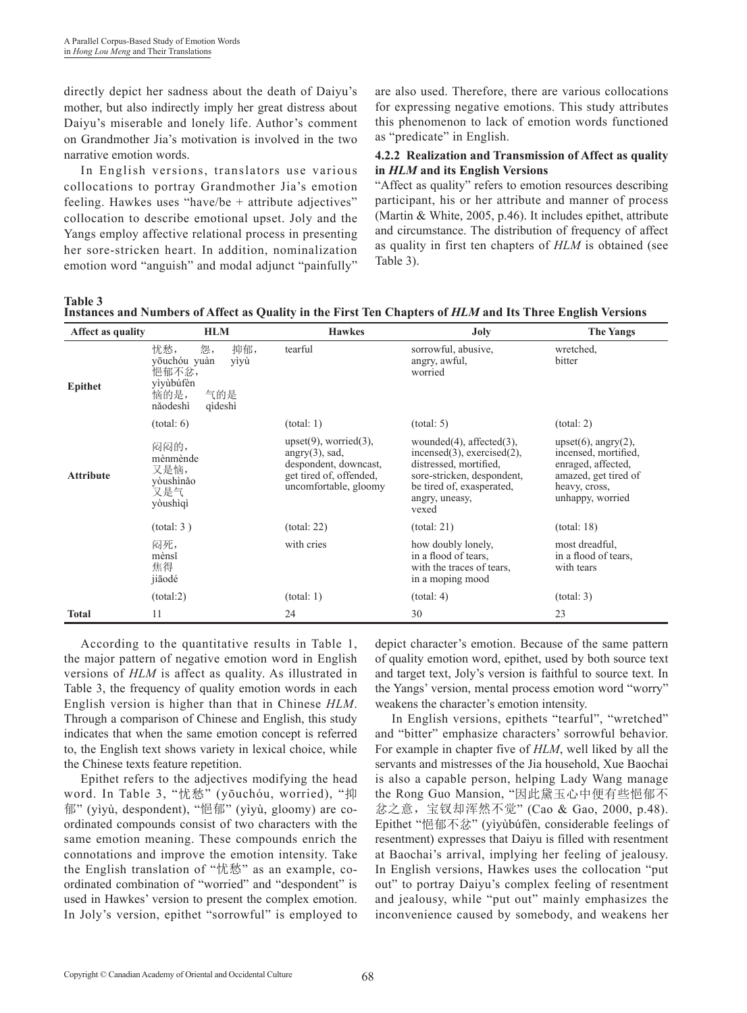directly depict her sadness about the death of Daiyu's mother, but also indirectly imply her great distress about Daiyu's miserable and lonely life. Author's comment on Grandmother Jia's motivation is involved in the two narrative emotion words.

In English versions, translators use various collocations to portray Grandmother Jia's emotion feeling. Hawkes uses "have/be + attribute adjectives" collocation to describe emotional upset. Joly and the Yangs employ affective relational process in presenting her sore-stricken heart. In addition, nominalization emotion word "anguish" and modal adjunct "painfully" are also used. Therefore, there are various collocations for expressing negative emotions. This study attributes this phenomenon to lack of emotion words functioned as "predicate" in English.

#### **4.2.2 Realization and Transmission of Affect as quality in** *HLM* **and its English Versions**

"Affect as quality" refers to emotion resources describing participant, his or her attribute and manner of process (Martin & White, 2005, p.46). It includes epithet, attribute and circumstance. The distribution of frequency of affect as quality in first ten chapters of *HLM* is obtained (see Table 3).

**Table 3**

| Affect as quality | <b>HLM</b>                                                                                           | <b>Hawkes</b>                                                                                                                  | <b>Joly</b>                                                                                                                                                                           | <b>The Yangs</b>                                                                                                                      |
|-------------------|------------------------------------------------------------------------------------------------------|--------------------------------------------------------------------------------------------------------------------------------|---------------------------------------------------------------------------------------------------------------------------------------------------------------------------------------|---------------------------------------------------------------------------------------------------------------------------------------|
| <b>Epithet</b>    | 抑郁,<br>忧愁,<br>怨,<br>yōuchóu yuàn<br>yìyù<br>悒郁不忿,<br>yìyùbúfèn<br>恼的是,<br>气的是<br>năodeshì<br>qìdeshì | tearful                                                                                                                        | sorrowful, abusive,<br>angry, awful,<br>worried                                                                                                                                       | wretched.<br>bitter                                                                                                                   |
|                   | (total: 6)                                                                                           | (total: 1)                                                                                                                     | (total: 5)                                                                                                                                                                            | (total: 2)                                                                                                                            |
| <b>Attribute</b>  | 闷闷的,<br>mènmènde<br>又是恼,<br>vòushìnǎo<br>又是气<br>yòushìqì                                             | $upset(9)$ , worried $(3)$ ,<br>$angry(3)$ , sad,<br>despondent, downcast,<br>get tired of, offended,<br>uncomfortable, gloomy | wounded $(4)$ , affected $(3)$ ,<br>$incensed(3)$ , exercised $(2)$ ,<br>distressed, mortified,<br>sore-stricken, despondent,<br>be tired of, exasperated,<br>angry, uneasy,<br>vexed | $upset(6)$ , angry $(2)$ ,<br>incensed, mortified,<br>enraged, affected,<br>amazed, get tired of<br>heavy, cross,<br>unhappy, worried |
|                   | (total: 3)                                                                                           | (total: 22)                                                                                                                    | (total: 21)                                                                                                                                                                           | (total: 18)                                                                                                                           |
|                   | 闷死,<br>mènsĭ<br>焦得<br>jiãodé                                                                         | with cries                                                                                                                     | how doubly lonely,<br>in a flood of tears.<br>with the traces of tears,<br>in a moping mood                                                                                           | most dreadful,<br>in a flood of tears,<br>with tears                                                                                  |
|                   | (total:2)                                                                                            | (total: 1)                                                                                                                     | (total: 4)                                                                                                                                                                            | (total: 3)                                                                                                                            |
| <b>Total</b>      | 11                                                                                                   | 24                                                                                                                             | 30                                                                                                                                                                                    | 23                                                                                                                                    |

**Instances and Numbers of Affect as Quality in the First Ten Chapters of** *HLM* **and Its Three English Versions** 

According to the quantitative results in Table 1, the major pattern of negative emotion word in English versions of *HLM* is affect as quality. As illustrated in Table 3, the frequency of quality emotion words in each English version is higher than that in Chinese *HLM*. Through a comparison of Chinese and English, this study indicates that when the same emotion concept is referred to, the English text shows variety in lexical choice, while the Chinese texts feature repetition.

Epithet refers to the adjectives modifying the head word. In Table 3, "忧愁" (yōuchóu, worried), "抑 郁" (yìyù, despondent), "悒郁" (yìyù, gloomy) are coordinated compounds consist of two characters with the same emotion meaning. These compounds enrich the connotations and improve the emotion intensity. Take the English translation of "忧愁" as an example, coordinated combination of "worried" and "despondent" is used in Hawkes' version to present the complex emotion. In Joly's version, epithet "sorrowful" is employed to depict character's emotion. Because of the same pattern of quality emotion word, epithet, used by both source text and target text, Joly's version is faithful to source text. In the Yangs' version, mental process emotion word "worry" weakens the character's emotion intensity.

In English versions, epithets "tearful", "wretched" and "bitter" emphasize characters' sorrowful behavior. For example in chapter five of *HLM*, well liked by all the servants and mistresses of the Jia household, Xue Baochai is also a capable person, helping Lady Wang manage the Rong Guo Mansion, "因此黛玉心中便有些悒郁不 忿之意,宝钗却浑然不觉" (Cao & Gao, 2000, p.48). Epithet "悒郁不忿" (yìyùbúfèn, considerable feelings of resentment) expresses that Daiyu is filled with resentment at Baochai's arrival, implying her feeling of jealousy. In English versions, Hawkes uses the collocation "put out" to portray Daiyu's complex feeling of resentment and jealousy, while "put out" mainly emphasizes the inconvenience caused by somebody, and weakens her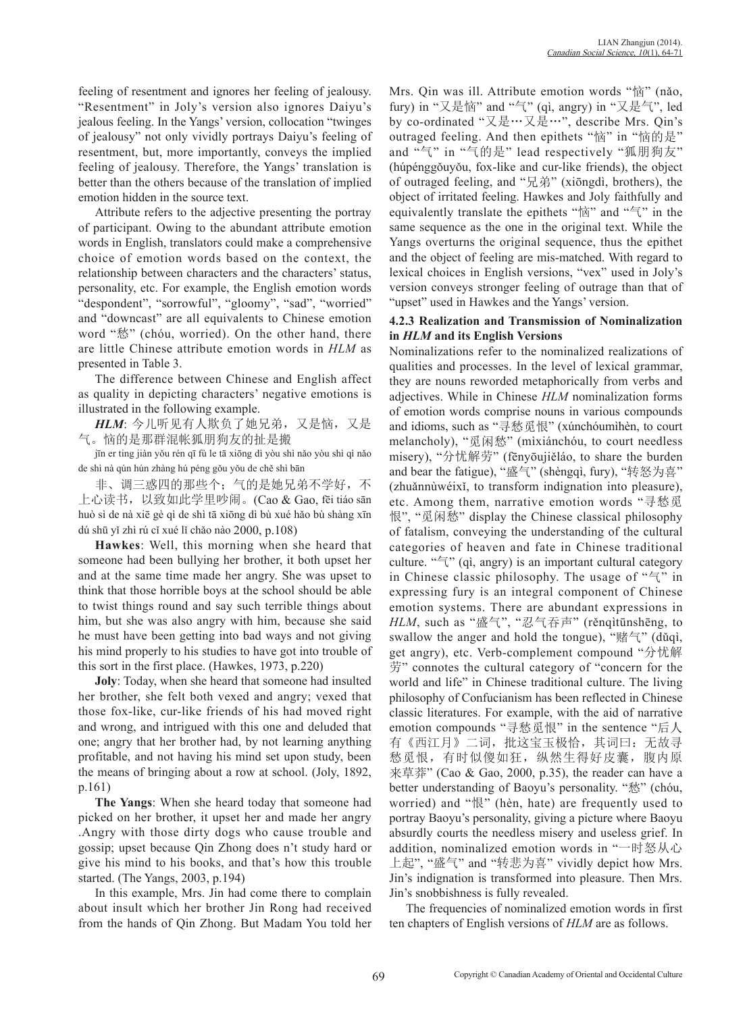feeling of resentment and ignores her feeling of jealousy. "Resentment" in Joly's version also ignores Daiyu's jealous feeling. In the Yangs' version, collocation "twinges of jealousy" not only vividly portrays Daiyu's feeling of resentment, but, more importantly, conveys the implied feeling of jealousy. Therefore, the Yangs' translation is better than the others because of the translation of implied emotion hidden in the source text.

Attribute refers to the adjective presenting the portray of participant. Owing to the abundant attribute emotion words in English, translators could make a comprehensive choice of emotion words based on the context, the relationship between characters and the characters' status, personality, etc. For example, the English emotion words "despondent", "sorrowful", "gloomy", "sad", "worried" and "downcast" are all equivalents to Chinese emotion word "愁" (chóu, worried). On the other hand, there are little Chinese attribute emotion words in *HLM* as presented in Table 3.

The difference between Chinese and English affect as quality in depicting characters' negative emotions is illustrated in the following example.

*HLM*: 今儿听见有人欺负了她兄弟,又是恼,又是 气。恼的是那群混帐狐朋狗友的扯是搬

jīn er ting jiàn yǒu rén qī fù le tā xiōng dì yòu shì nǎo yòu shì qì nǎo de shì nà qún hún zhàng hú péng gǒu yǒu de chě shì bān

非、调三惑四的那些个;气的是她兄弟不学好,不 上心读书,以致如此学里吵闹。(Cao & Gao, fēi tiáo sān huò sì de nà xiē gè qì de shì tā xiōng dì bù xué hǎo bù shàng xīn dú shū yǐ zhì rú cǐ xué lǐ chǎo nào 2000, p.108)

**Hawkes**: Well, this morning when she heard that someone had been bullying her brother, it both upset her and at the same time made her angry. She was upset to think that those horrible boys at the school should be able to twist things round and say such terrible things about him, but she was also angry with him, because she said he must have been getting into bad ways and not giving his mind properly to his studies to have got into trouble of this sort in the first place. (Hawkes, 1973, p.220)

**Joly**: Today, when she heard that someone had insulted her brother, she felt both vexed and angry; vexed that those fox-like, cur-like friends of his had moved right and wrong, and intrigued with this one and deluded that one; angry that her brother had, by not learning anything profitable, and not having his mind set upon study, been the means of bringing about a row at school. (Joly, 1892, p.161)

**The Yangs**: When she heard today that someone had picked on her brother, it upset her and made her angry .Angry with those dirty dogs who cause trouble and gossip; upset because Qin Zhong does n't study hard or give his mind to his books, and that's how this trouble started. (The Yangs, 2003, p.194)

In this example, Mrs. Jin had come there to complain about insult which her brother Jin Rong had received from the hands of Qin Zhong. But Madam You told her Mrs. Qin was ill. Attribute emotion words "恼" (nǎo, fury) in "又是恼" and "气" (qì, angry) in "又是气", led by co-ordinated "又是…又是…", describe Mrs. Qin's outraged feeling. And then epithets "恼" in "恼的是" and "气" in "气的是" lead respectively "狐朋狗友" (húpénggǒuyǒu, fox-like and cur-like friends), the object of outraged feeling, and "兄弟" (xiōngdì, brothers), the object of irritated feeling. Hawkes and Joly faithfully and equivalently translate the epithets " $\mathbb{R}^n$ " and " $\mathbb{R}^n$ " in the same sequence as the one in the original text. While the Yangs overturns the original sequence, thus the epithet and the object of feeling are mis-matched. With regard to lexical choices in English versions, "vex" used in Joly's version conveys stronger feeling of outrage than that of "upset" used in Hawkes and the Yangs' version.

#### **4.2.3 Realization and Transmission of Nominalization in** *HLM* **and its English Versions**

Nominalizations refer to the nominalized realizations of qualities and processes. In the level of lexical grammar, they are nouns reworded metaphorically from verbs and adjectives. While in Chinese *HLM* nominalization forms of emotion words comprise nouns in various compounds and idioms, such as "寻愁觅恨" (xúnchóumìhèn, to court melancholy), "觅闲愁" (mìxiánchóu, to court needless misery), "分忧解劳" (fēnyōujiěláo, to share the burden and bear the fatigue), "盛气" (shèngqì, fury), "转怒为喜" (zhuǎnnùwéixǐ, to transform indignation into pleasure), etc. Among them, narrative emotion words "寻愁觅 恨", "觅闲愁" display the Chinese classical philosophy of fatalism, conveying the understanding of the cultural categories of heaven and fate in Chinese traditional culture. "气" (qì, angry) is an important cultural category in Chinese classic philosophy. The usage of "气" in expressing fury is an integral component of Chinese emotion systems. There are abundant expressions in *HLM*, such as "盛气", "忍气吞声" (rěnqìtūnshēng, to swallow the anger and hold the tongue), "赌气" (dǔqì, get angry), etc. Verb-complement compound "分忧解 劳" connotes the cultural category of "concern for the world and life" in Chinese traditional culture. The living philosophy of Confucianism has been reflected in Chinese classic literatures. For example, with the aid of narrative emotion compounds "寻愁觅恨" in the sentence "后人 有《西江月》二词,批这宝玉极恰,其词曰: 无故寻 愁觅恨,有时似傻如狂,纵然生得好皮囊,腹内原 来草莽" (Cao & Gao, 2000, p.35), the reader can have a better understanding of Baoyu's personality. "愁" (chóu, worried) and "恨" (hèn, hate) are frequently used to portray Baoyu's personality, giving a picture where Baoyu absurdly courts the needless misery and useless grief. In addition, nominalized emotion words in "一时怒从心 上起", "盛气" and "转悲为喜" vividly depict how Mrs. Jin's indignation is transformed into pleasure. Then Mrs. Jin's snobbishness is fully revealed.

The frequencies of nominalized emotion words in first ten chapters of English versions of *HLM* are as follows.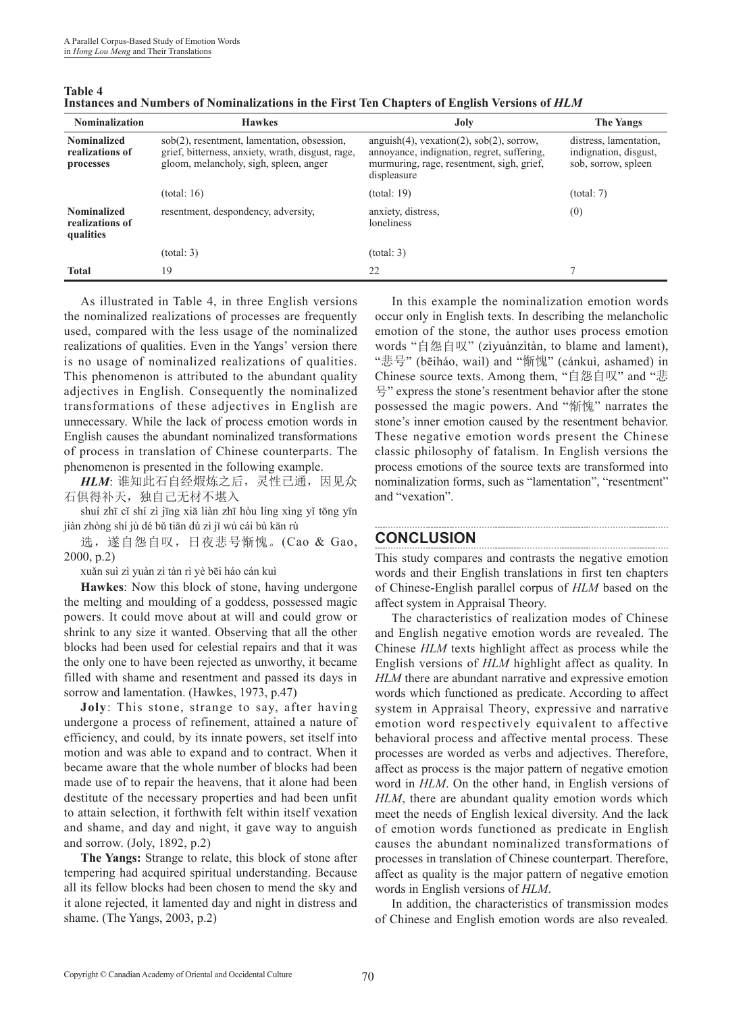| <b>Nominalization</b>                              | <b>Hawkes</b>                                                                                                                              | Joly                                                                                                                                                        | <b>The Yangs</b>                                                       |
|----------------------------------------------------|--------------------------------------------------------------------------------------------------------------------------------------------|-------------------------------------------------------------------------------------------------------------------------------------------------------------|------------------------------------------------------------------------|
| <b>Nominalized</b><br>realizations of<br>processes | sob(2), resentment, lamentation, obsession,<br>grief, bitterness, anxiety, wrath, disgust, rage,<br>gloom, melancholy, sigh, spleen, anger | $anguish(4)$ , $vexation(2)$ , $sob(2)$ , sorrow,<br>annoyance, indignation, regret, suffering,<br>murmuring, rage, resentment, sigh, grief,<br>displeasure | distress, lamentation,<br>indignation, disgust,<br>sob, sorrow, spleen |
|                                                    | (total: 16)                                                                                                                                | (total: 19)                                                                                                                                                 | (total: 7)                                                             |
| <b>Nominalized</b><br>realizations of<br>qualities | resentment, despondency, adversity,                                                                                                        | anxiety, distress,<br>loneliness                                                                                                                            | (0)                                                                    |
|                                                    | (total: 3)                                                                                                                                 | (total: 3)                                                                                                                                                  |                                                                        |
| <b>Total</b>                                       | 19                                                                                                                                         | 22                                                                                                                                                          |                                                                        |

**Table 4 Instances and Numbers of Nominalizations in the First Ten Chapters of English Versions of** *HLM*

As illustrated in Table 4, in three English versions the nominalized realizations of processes are frequently used, compared with the less usage of the nominalized realizations of qualities. Even in the Yangs' version there is no usage of nominalized realizations of qualities. This phenomenon is attributed to the abundant quality adjectives in English. Consequently the nominalized transformations of these adjectives in English are unnecessary. While the lack of process emotion words in English causes the abundant nominalized transformations of process in translation of Chinese counterparts. The phenomenon is presented in the following example.

HLM: 谁知此石自经煆炼之后, 灵性已通, 因见众 石俱得补天,独自己无材不堪入

shuí zhī cǐ shí zì jīng xiā liàn zhī hòu líng xìng yǐ tōng yīn jiàn zhòng shí jù dé bǔ tiān dú zì jǐ wú cái bù kān rù

选,遂自怨自叹,日夜悲号惭愧。(Cao & Gao, 2000, p.2)

xuǎn suì zì yuàn zì tàn rì yè bēi háo cán kuì

**Hawkes**: Now this block of stone, having undergone the melting and moulding of a goddess, possessed magic powers. It could move about at will and could grow or shrink to any size it wanted. Observing that all the other blocks had been used for celestial repairs and that it was the only one to have been rejected as unworthy, it became filled with shame and resentment and passed its days in sorrow and lamentation. (Hawkes, 1973, p.47)

**Joly**: This stone, strange to say, after having undergone a process of refinement, attained a nature of efficiency, and could, by its innate powers, set itself into motion and was able to expand and to contract. When it became aware that the whole number of blocks had been made use of to repair the heavens, that it alone had been destitute of the necessary properties and had been unfit to attain selection, it forthwith felt within itself vexation and shame, and day and night, it gave way to anguish and sorrow. (Joly, 1892, p.2)

**The Yangs:** Strange to relate, this block of stone after tempering had acquired spiritual understanding. Because all its fellow blocks had been chosen to mend the sky and it alone rejected, it lamented day and night in distress and shame. (The Yangs, 2003, p.2)

In this example the nominalization emotion words occur only in English texts. In describing the melancholic emotion of the stone, the author uses process emotion words "自怨自叹" (zìyuànzìtàn, to blame and lament), "悲号" (bēiháo, wail) and "惭愧" (cánkuì, ashamed) in Chinese source texts. Among them, "自怨自叹" and "悲 号" express the stone's resentment behavior after the stone possessed the magic powers. And "惭愧" narrates the stone's inner emotion caused by the resentment behavior. These negative emotion words present the Chinese classic philosophy of fatalism. In English versions the process emotions of the source texts are transformed into nominalization forms, such as "lamentation", "resentment" and "vexation".

### **CONCLUSION**

This study compares and contrasts the negative emotion words and their English translations in first ten chapters of Chinese-English parallel corpus of *HLM* based on the affect system in Appraisal Theory.

The characteristics of realization modes of Chinese and English negative emotion words are revealed. The Chinese *HLM* texts highlight affect as process while the English versions of *HLM* highlight affect as quality. In *HLM* there are abundant narrative and expressive emotion words which functioned as predicate. According to affect system in Appraisal Theory, expressive and narrative emotion word respectively equivalent to affective behavioral process and affective mental process. These processes are worded as verbs and adjectives. Therefore, affect as process is the major pattern of negative emotion word in *HLM*. On the other hand, in English versions of *HLM*, there are abundant quality emotion words which meet the needs of English lexical diversity. And the lack of emotion words functioned as predicate in English causes the abundant nominalized transformations of processes in translation of Chinese counterpart. Therefore, affect as quality is the major pattern of negative emotion words in English versions of *HLM*.

In addition, the characteristics of transmission modes of Chinese and English emotion words are also revealed.